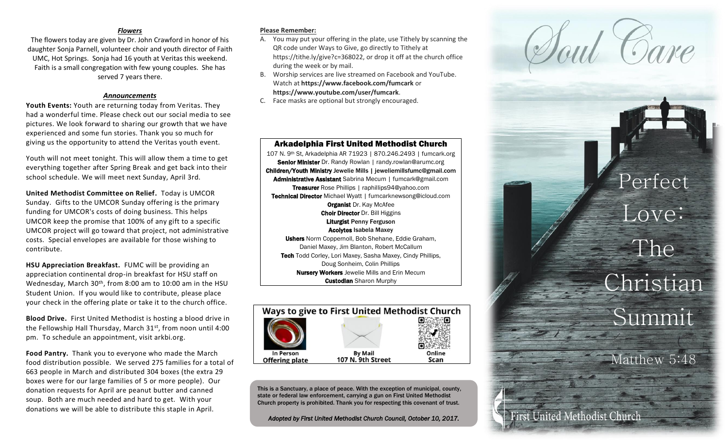### *Flowers*

The flowers today are given by Dr. John Crawford in honor of his daughter Sonja Parnell, volunteer choir and youth director of Faith UMC, Hot Springs. Sonja had 16 youth at Veritas this weekend. Faith is a small congregation with few young couples. She has served 7 years there.

### *Announcements*

**Youth Events:** Youth are returning today from Veritas. They had a wonderful time. Please check out our social media to see pictures. We look forward to sharing our growth that we have experienced and some fun stories. Thank you so much for giving us the opportunity to attend the Veritas youth event. Youth will not meet tonight. This will allow them a time to get

everything together after Spring Break and get back into their school schedule. We will meet next Sunday, April 3rd.

**United Methodist Committee on Relief.** Today is UMCOR Sunday. Gifts to the UMCOR Sunday offering is the primary funding for UMCOR's costs of doing business. This helps UMCOR keep the promise that 100% of any gift to a specific UMCOR project will go toward that project, not administrative costs. Special envelopes are available for those wishing to contribute.

**HSU Appreciation Breakfast.** FUMC will be providing an appreciation continental drop -in breakfast for HSU staff on Wednesday, March 30th, from 8:00 am to 10:00 am in the HSU Student Union. If you would like to contribute, please place your check in the offering plate or take it to the church office.

**Blood Drive.** First United Methodist is hosting a blood drive in the Fellowship Hall Thursday, March 31<sup>st</sup>, from noon until 4:00 pm. To schedule an appointment, visit arkbi.org.

**Food Pantry.** Thank you to everyone who made the March food distribution possible. We served 275 families for a total of 663 people in March and distributed 304 boxes (the extra 29 boxes were for our large families of 5 or more people). Our donation requests for April are peanut butter and canned soup. Both are much needed and hard to get. With your donations we will be able to distribute this staple in April.

#### **Please Remember:**

- A. You may put your offering in the plate, use Tithely by scanning the QR code under Ways to Give, go directly to Tithely at https://tithe.ly/give?c=368022, or drop it off at the church office during the week or by mail.
- B. Worship services are live streamed on Facebook and YouTube. Watch at **https://www.facebook.com/fumcark** or **https://www.youtube.com/user/fumcark** .

Arkadelphia First United Methodist Church 107 N. 9th St, Arkadelphia AR 71923 | 870.246.2493 | fumcark.org Senior Minister Dr. Randy Rowlan | randy.rowlan@arumc.org Children/Youth Ministry Jewelie Mills | jeweliemillsfumc@gmail.com Administrative Assistant Sabrina Mecum | fumcark@gmail.com **Treasurer** Rose Phillips | raphillips94@yahoo.com Technical Director Michael Wyatt | fumcarknewsong@icloud.com **Organist Dr. Kay McAfee Choir Director** Dr. Bill Higgins Liturgist Penny Ferguson Acolytes Isabela Maxey Ushers Norm Coppernoll, Bob Shehane, Eddie Graham, Daniel Maxey, Jim Blanton, Robert McCallum Tech Todd Corley, Lori Maxey, Sasha Maxey, Cindy Phillips, Doug Sonheim, Colin Phillips **Nursery Workers** Jewelie Mills and Erin Mecum **Custodian** Sharon Murphy

C. Face masks are optional but strongly encouraged.



This is a Sanctuary, a place of peace. With the exception of municipal, county, state or federal law enforcement, carrying a gun on First United Methodist Church property is prohibited. Thank you for respecting this covenant of trust.

*Adopted by First United Methodist Church Council, October 10, 2017.*

# Perfect Love: The

# Christian Summit

latthew 5:48

irst United Methodist Church